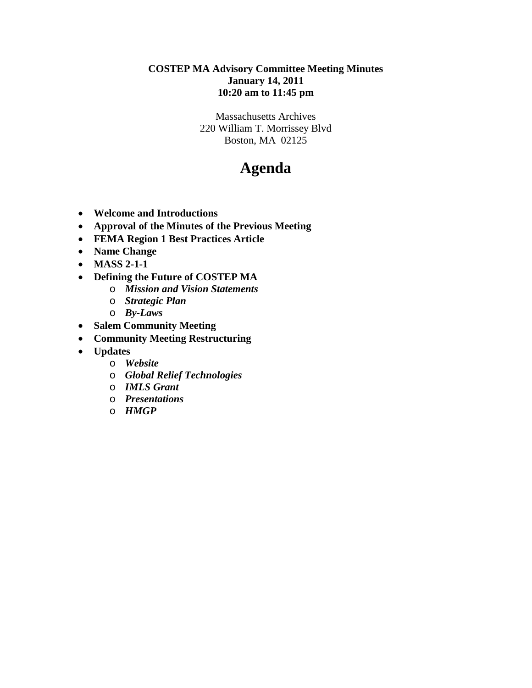## **COSTEP MA Advisory Committee Meeting Minutes January 14, 2011 10:20 am to 11:45 pm**

Massachusetts Archives 220 William T. Morrissey Blvd Boston, MA 02125

## **Agenda**

- **Welcome and Introductions**
- **Approval of the Minutes of the Previous Meeting**
- **FEMA Region 1 Best Practices Article**
- **Name Change**
- **MASS 2-1-1**
- **Defining the Future of COSTEP MA**
	- o *Mission and Vision Statements*
	- o *Strategic Plan*
	- o *By-Laws*
- **Salem Community Meeting**
- **Community Meeting Restructuring**
- **Updates**
	- o *Website*
	- o *Global Relief Technologies*
	- o *IMLS Grant*
	- o *Presentations*
	- o *HMGP*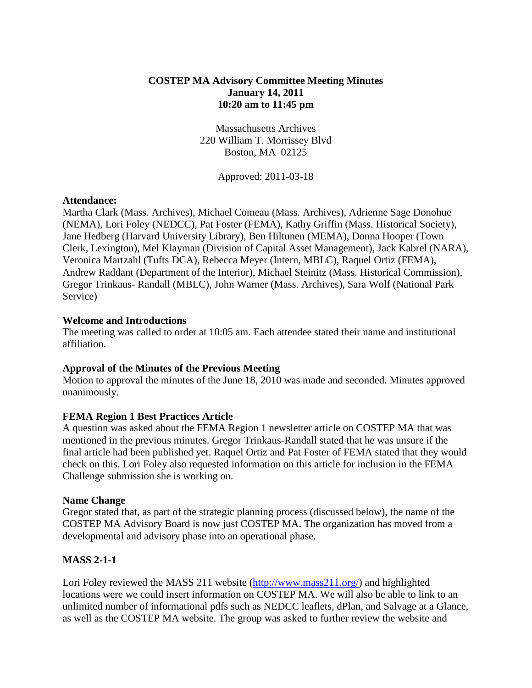## **COSTEP MA Advisory Committee Meeting Minutes January 14, 2011 10:20 am to 11:45 pm**

Massachusetts Archives 220 William T. Morrissey Blvd Boston, MA 02125

Approved: 2011-03-18

#### **Attendance:**

Martha Clark (Mass. Archives), Michael Comeau (Mass. Archives), Adrienne Sage Donohue (NEMA), Lori Foley (NEDCC), Pat Foster (FEMA), Kathy Griffin (Mass. Historical Society), Jane Hedberg (Harvard University Library), Ben Hiltunen (MEMA), Donna Hooper (Town Clerk, Lexington), Mel Klayman (Division of Capital Asset Management), Jack Kabrel (NARA), Veronica Martzahl (Tufts DCA), Rebecca Meyer (Intern, MBLC), Raquel Ortiz (FEMA), Andrew Raddant (Department of the Interior), Michael Steinitz (Mass. Historical Commission), Gregor Trinkaus- Randall (MBLC), John Warner (Mass. Archives), Sara Wolf (National Park Service)

#### **Welcome and Introductions**

The meeting was called to order at 10:05 am. Each attendee stated their name and institutional affiliation.

#### **Approval of the Minutes of the Previous Meeting**

Motion to approval the minutes of the June 18, 2010 was made and seconded. Minutes approved unanimously.

#### **FEMA Region 1 Best Practices Article**

A question was asked about the FEMA Region 1 newsletter article on COSTEP MA that was mentioned in the previous minutes. Gregor Trinkaus-Randall stated that he was unsure if the final article had been published yet. Raquel Ortiz and Pat Foster of FEMA stated that they would check on this. Lori Foley also requested information on this article for inclusion in the FEMA Challenge submission she is working on.

#### **Name Change**

Gregor stated that, as part of the strategic planning process (discussed below), the name of the COSTEP MA Advisory Board is now just COSTEP MA. The organization has moved from a developmental and advisory phase into an operational phase.

#### **MASS 2-1-1**

Lori Foley reviewed the MASS 211 website [\(http://www.mass211.org/\)](http://www.mass211.org/) and highlighted locations were we could insert information on COSTEP MA. We will also be able to link to an unlimited number of informational pdfs such as NEDCC leaflets, dPlan, and Salvage at a Glance, as well as the COSTEP MA website. The group was asked to further review the website and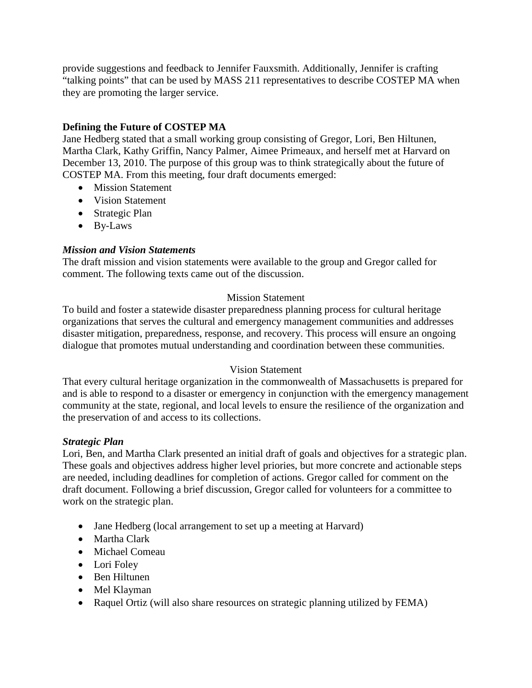provide suggestions and feedback to Jennifer Fauxsmith. Additionally, Jennifer is crafting "talking points" that can be used by MASS 211 representatives to describe COSTEP MA when they are promoting the larger service.

## **Defining the Future of COSTEP MA**

Jane Hedberg stated that a small working group consisting of Gregor, Lori, Ben Hiltunen, Martha Clark, Kathy Griffin, Nancy Palmer, Aimee Primeaux, and herself met at Harvard on December 13, 2010. The purpose of this group was to think strategically about the future of COSTEP MA. From this meeting, four draft documents emerged:

- Mission Statement
- Vision Statement
- Strategic Plan
- By-Laws

## *Mission and Vision Statements*

The draft mission and vision statements were available to the group and Gregor called for comment. The following texts came out of the discussion.

## Mission Statement

To build and foster a statewide disaster preparedness planning process for cultural heritage organizations that serves the cultural and emergency management communities and addresses disaster mitigation, preparedness, response, and recovery. This process will ensure an ongoing dialogue that promotes mutual understanding and coordination between these communities.

## Vision Statement

That every cultural heritage organization in the commonwealth of Massachusetts is prepared for and is able to respond to a disaster or emergency in conjunction with the emergency management community at the state, regional, and local levels to ensure the resilience of the organization and the preservation of and access to its collections.

## *Strategic Plan*

Lori, Ben, and Martha Clark presented an initial draft of goals and objectives for a strategic plan. These goals and objectives address higher level priories, but more concrete and actionable steps are needed, including deadlines for completion of actions. Gregor called for comment on the draft document. Following a brief discussion, Gregor called for volunteers for a committee to work on the strategic plan.

- Jane Hedberg (local arrangement to set up a meeting at Harvard)
- Martha Clark
- Michael Comeau
- Lori Foley
- Ben Hiltunen
- Mel Klayman
- Raquel Ortiz (will also share resources on strategic planning utilized by FEMA)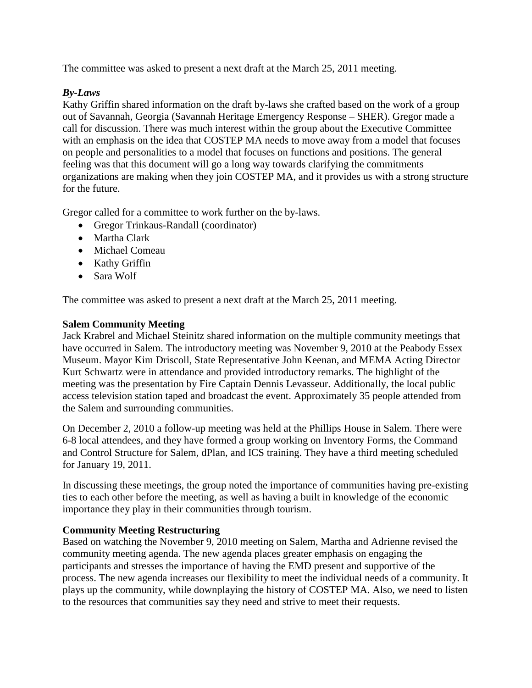The committee was asked to present a next draft at the March 25, 2011 meeting.

## *By-Laws*

Kathy Griffin shared information on the draft by-laws she crafted based on the work of a group out of Savannah, Georgia (Savannah Heritage Emergency Response – SHER). Gregor made a call for discussion. There was much interest within the group about the Executive Committee with an emphasis on the idea that COSTEP MA needs to move away from a model that focuses on people and personalities to a model that focuses on functions and positions. The general feeling was that this document will go a long way towards clarifying the commitments organizations are making when they join COSTEP MA, and it provides us with a strong structure for the future.

Gregor called for a committee to work further on the by-laws.

- Gregor Trinkaus-Randall (coordinator)
- Martha Clark
- Michael Comeau
- Kathy Griffin
- Sara Wolf

The committee was asked to present a next draft at the March 25, 2011 meeting.

## **Salem Community Meeting**

Jack Krabrel and Michael Steinitz shared information on the multiple community meetings that have occurred in Salem. The introductory meeting was November 9, 2010 at the Peabody Essex Museum. Mayor Kim Driscoll, State Representative John Keenan, and MEMA Acting Director Kurt Schwartz were in attendance and provided introductory remarks. The highlight of the meeting was the presentation by Fire Captain Dennis Levasseur. Additionally, the local public access television station taped and broadcast the event. Approximately 35 people attended from the Salem and surrounding communities.

On December 2, 2010 a follow-up meeting was held at the Phillips House in Salem. There were 6-8 local attendees, and they have formed a group working on Inventory Forms, the Command and Control Structure for Salem, dPlan, and ICS training. They have a third meeting scheduled for January 19, 2011.

In discussing these meetings, the group noted the importance of communities having pre-existing ties to each other before the meeting, as well as having a built in knowledge of the economic importance they play in their communities through tourism.

#### **Community Meeting Restructuring**

Based on watching the November 9, 2010 meeting on Salem, Martha and Adrienne revised the community meeting agenda. The new agenda places greater emphasis on engaging the participants and stresses the importance of having the EMD present and supportive of the process. The new agenda increases our flexibility to meet the individual needs of a community. It plays up the community, while downplaying the history of COSTEP MA. Also, we need to listen to the resources that communities say they need and strive to meet their requests.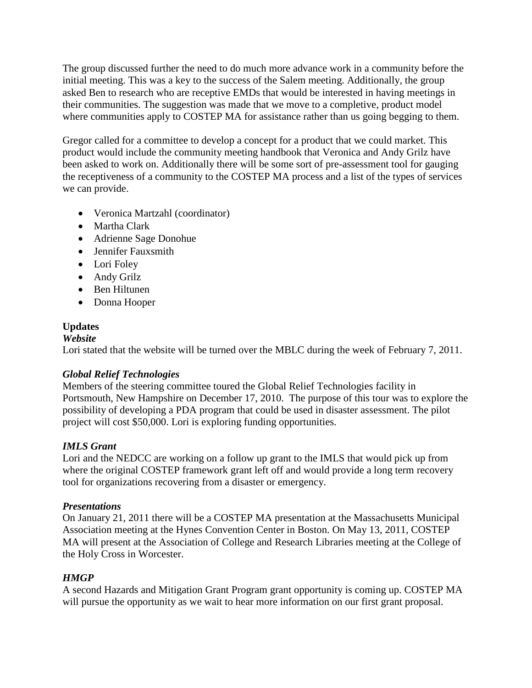The group discussed further the need to do much more advance work in a community before the initial meeting. This was a key to the success of the Salem meeting. Additionally, the group asked Ben to research who are receptive EMDs that would be interested in having meetings in their communities. The suggestion was made that we move to a completive, product model where communities apply to COSTEP MA for assistance rather than us going begging to them.

Gregor called for a committee to develop a concept for a product that we could market. This product would include the community meeting handbook that Veronica and Andy Grilz have been asked to work on. Additionally there will be some sort of pre-assessment tool for gauging the receptiveness of a community to the COSTEP MA process and a list of the types of services we can provide.

- Veronica Martzahl (coordinator)
- Martha Clark
- Adrienne Sage Donohue
- Jennifer Fauxsmith
- Lori Foley
- Andy Grilz
- Ben Hiltunen
- Donna Hooper

## **Updates**

## *Website*

Lori stated that the website will be turned over the MBLC during the week of February 7, 2011.

## *Global Relief Technologies*

Members of the steering committee toured the Global Relief Technologies facility in Portsmouth, New Hampshire on December 17, 2010. The purpose of this tour was to explore the possibility of developing a PDA program that could be used in disaster assessment. The pilot project will cost \$50,000. Lori is exploring funding opportunities.

## *IMLS Grant*

Lori and the NEDCC are working on a follow up grant to the IMLS that would pick up from where the original COSTEP framework grant left off and would provide a long term recovery tool for organizations recovering from a disaster or emergency.

## *Presentations*

On January 21, 2011 there will be a COSTEP MA presentation at the Massachusetts Municipal Association meeting at the Hynes Convention Center in Boston. On May 13, 2011, COSTEP MA will present at the Association of College and Research Libraries meeting at the College of the Holy Cross in Worcester.

## *HMGP*

A second Hazards and Mitigation Grant Program grant opportunity is coming up. COSTEP MA will pursue the opportunity as we wait to hear more information on our first grant proposal.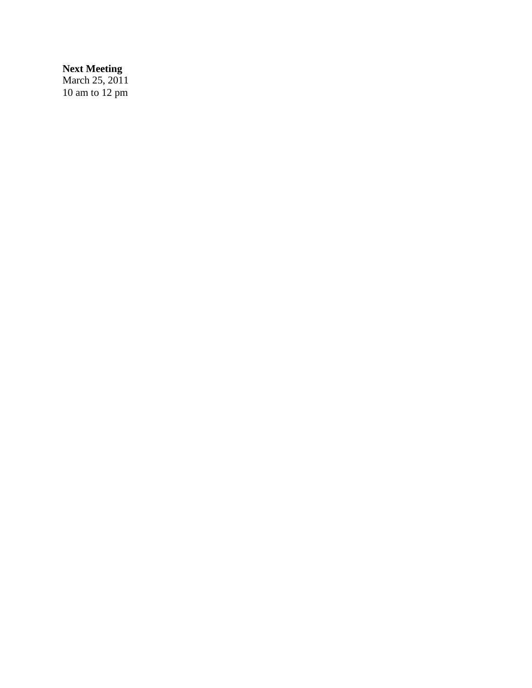## **Next Meeting**

March 25, 2011 10 am to 12 pm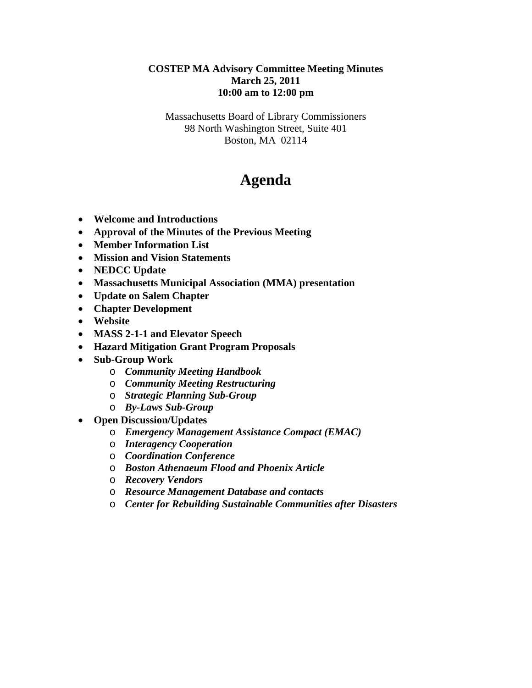## **COSTEP MA Advisory Committee Meeting Minutes March 25, 2011 10:00 am to 12:00 pm**

Massachusetts Board of Library Commissioners 98 North Washington Street, Suite 401 Boston, MA 02114

## **Agenda**

- **Welcome and Introductions**
- **Approval of the Minutes of the Previous Meeting**
- **Member Information List**
- **Mission and Vision Statements**
- **NEDCC Update**
- **Massachusetts Municipal Association (MMA) presentation**
- **Update on Salem Chapter**
- **Chapter Development**
- **Website**
- **MASS 2-1-1 and Elevator Speech**
- **Hazard Mitigation Grant Program Proposals**
- **Sub-Group Work**
	- o *Community Meeting Handbook*
	- o *Community Meeting Restructuring*
	- o *Strategic Planning Sub-Group*
	- o *By-Laws Sub-Group*
- **Open Discussion/Updates**
	- o *Emergency Management Assistance Compact (EMAC)*
	- o *Interagency Cooperation*
	- o *Coordination Conference*
	- o *Boston Athenaeum Flood and Phoenix Article*
	- o *Recovery Vendors*
	- o *Resource Management Database and contacts*
	- o *Center for Rebuilding Sustainable Communities after Disasters*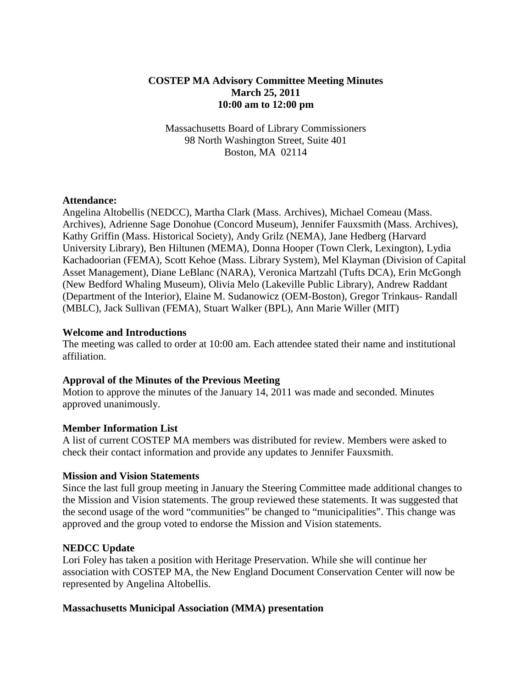## **COSTEP MA Advisory Committee Meeting Minutes March 25, 2011 10:00 am to 12:00 pm**

Massachusetts Board of Library Commissioners 98 North Washington Street, Suite 401 Boston, MA 02114

#### **Attendance:**

Angelina Altobellis (NEDCC), Martha Clark (Mass. Archives), Michael Comeau (Mass. Archives), Adrienne Sage Donohue (Concord Museum), Jennifer Fauxsmith (Mass. Archives), Kathy Griffin (Mass. Historical Society), Andy Grilz (NEMA), Jane Hedberg (Harvard University Library), Ben Hiltunen (MEMA), Donna Hooper (Town Clerk, Lexington), Lydia Kachadoorian (FEMA), Scott Kehoe (Mass. Library System), Mel Klayman (Division of Capital Asset Management), Diane LeBlanc (NARA), Veronica Martzahl (Tufts DCA), Erin McGongh (New Bedford Whaling Museum), Olivia Melo (Lakeville Public Library), Andrew Raddant (Department of the Interior), Elaine M. Sudanowicz (OEM-Boston), Gregor Trinkaus- Randall (MBLC), Jack Sullivan (FEMA), Stuart Walker (BPL), Ann Marie Willer (MIT)

#### **Welcome and Introductions**

The meeting was called to order at 10:00 am. Each attendee stated their name and institutional affiliation.

#### **Approval of the Minutes of the Previous Meeting**

Motion to approve the minutes of the January 14, 2011 was made and seconded. Minutes approved unanimously.

#### **Member Information List**

A list of current COSTEP MA members was distributed for review. Members were asked to check their contact information and provide any updates to Jennifer Fauxsmith.

#### **Mission and Vision Statements**

Since the last full group meeting in January the Steering Committee made additional changes to the Mission and Vision statements. The group reviewed these statements. It was suggested that the second usage of the word "communities" be changed to "municipalities". This change was approved and the group voted to endorse the Mission and Vision statements.

#### **NEDCC Update**

Lori Foley has taken a position with Heritage Preservation. While she will continue her association with COSTEP MA, the New England Document Conservation Center will now be represented by Angelina Altobellis.

#### **Massachusetts Municipal Association (MMA) presentation**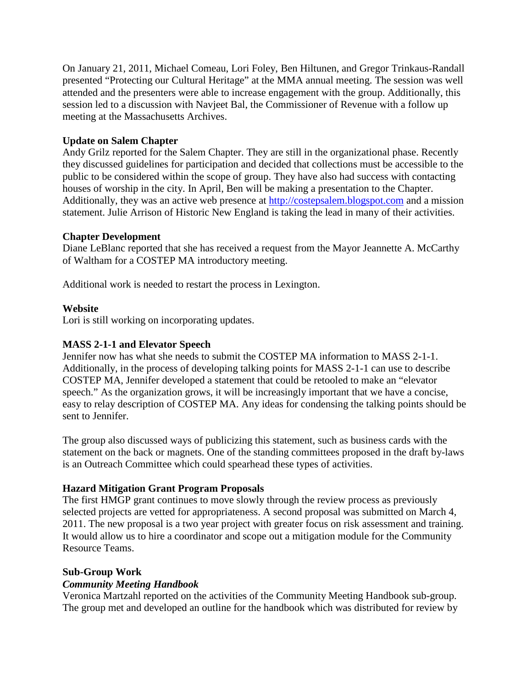On January 21, 2011, Michael Comeau, Lori Foley, Ben Hiltunen, and Gregor Trinkaus-Randall presented "Protecting our Cultural Heritage" at the MMA annual meeting. The session was well attended and the presenters were able to increase engagement with the group. Additionally, this session led to a discussion with Navjeet Bal, the Commissioner of Revenue with a follow up meeting at the Massachusetts Archives.

## **Update on Salem Chapter**

Andy Grilz reported for the Salem Chapter. They are still in the organizational phase. Recently they discussed guidelines for participation and decided that collections must be accessible to the public to be considered within the scope of group. They have also had success with contacting houses of worship in the city. In April, Ben will be making a presentation to the Chapter. Additionally, they was an active web presence at [http://costepsalem.blogspot.com](http://costepsalem.blogspot.com/) and a mission statement. Julie Arrison of Historic New England is taking the lead in many of their activities.

#### **Chapter Development**

Diane LeBlanc reported that she has received a request from the Mayor Jeannette A. McCarthy of Waltham for a COSTEP MA introductory meeting.

Additional work is needed to restart the process in Lexington.

## **Website**

Lori is still working on incorporating updates.

## **MASS 2-1-1 and Elevator Speech**

Jennifer now has what she needs to submit the COSTEP MA information to MASS 2-1-1. Additionally, in the process of developing talking points for MASS 2-1-1 can use to describe COSTEP MA, Jennifer developed a statement that could be retooled to make an "elevator speech." As the organization grows, it will be increasingly important that we have a concise, easy to relay description of COSTEP MA. Any ideas for condensing the talking points should be sent to Jennifer.

The group also discussed ways of publicizing this statement, such as business cards with the statement on the back or magnets. One of the standing committees proposed in the draft by-laws is an Outreach Committee which could spearhead these types of activities.

#### **Hazard Mitigation Grant Program Proposals**

The first HMGP grant continues to move slowly through the review process as previously selected projects are vetted for appropriateness. A second proposal was submitted on March 4, 2011. The new proposal is a two year project with greater focus on risk assessment and training. It would allow us to hire a coordinator and scope out a mitigation module for the Community Resource Teams.

#### **Sub-Group Work**

#### *Community Meeting Handbook*

Veronica Martzahl reported on the activities of the Community Meeting Handbook sub-group. The group met and developed an outline for the handbook which was distributed for review by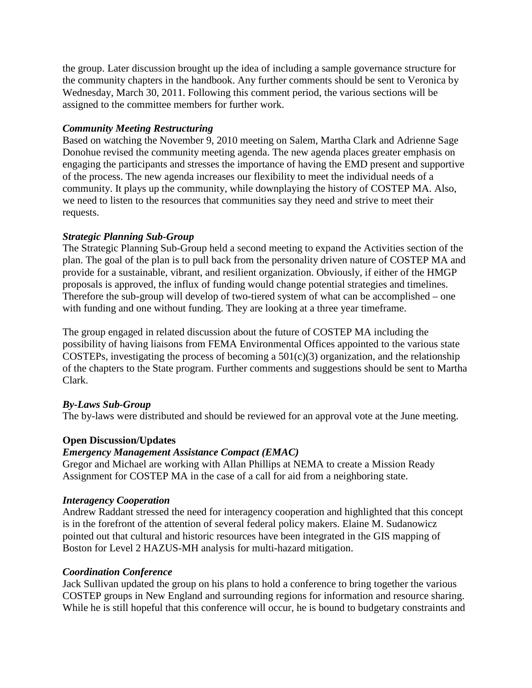the group. Later discussion brought up the idea of including a sample governance structure for the community chapters in the handbook. Any further comments should be sent to Veronica by Wednesday, March 30, 2011. Following this comment period, the various sections will be assigned to the committee members for further work.

## *Community Meeting Restructuring*

Based on watching the November 9, 2010 meeting on Salem, Martha Clark and Adrienne Sage Donohue revised the community meeting agenda. The new agenda places greater emphasis on engaging the participants and stresses the importance of having the EMD present and supportive of the process. The new agenda increases our flexibility to meet the individual needs of a community. It plays up the community, while downplaying the history of COSTEP MA. Also, we need to listen to the resources that communities say they need and strive to meet their requests.

## *Strategic Planning Sub-Group*

The Strategic Planning Sub-Group held a second meeting to expand the Activities section of the plan. The goal of the plan is to pull back from the personality driven nature of COSTEP MA and provide for a sustainable, vibrant, and resilient organization. Obviously, if either of the HMGP proposals is approved, the influx of funding would change potential strategies and timelines. Therefore the sub-group will develop of two-tiered system of what can be accomplished – one with funding and one without funding. They are looking at a three year timeframe.

The group engaged in related discussion about the future of COSTEP MA including the possibility of having liaisons from FEMA Environmental Offices appointed to the various state COSTEPs, investigating the process of becoming a  $501(c)(3)$  organization, and the relationship of the chapters to the State program. Further comments and suggestions should be sent to Martha Clark.

## *By-Laws Sub-Group*

The by-laws were distributed and should be reviewed for an approval vote at the June meeting.

## **Open Discussion/Updates**

## *Emergency Management Assistance Compact (EMAC)*

Gregor and Michael are working with Allan Phillips at NEMA to create a Mission Ready Assignment for COSTEP MA in the case of a call for aid from a neighboring state.

#### *Interagency Cooperation*

Andrew Raddant stressed the need for interagency cooperation and highlighted that this concept is in the forefront of the attention of several federal policy makers. Elaine M. Sudanowicz pointed out that cultural and historic resources have been integrated in the GIS mapping of Boston for Level 2 HAZUS-MH analysis for multi-hazard mitigation.

#### *Coordination Conference*

Jack Sullivan updated the group on his plans to hold a conference to bring together the various COSTEP groups in New England and surrounding regions for information and resource sharing. While he is still hopeful that this conference will occur, he is bound to budgetary constraints and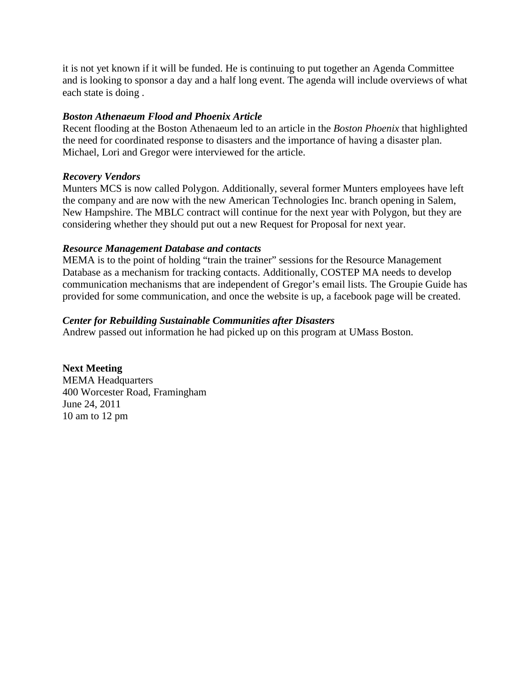it is not yet known if it will be funded. He is continuing to put together an Agenda Committee and is looking to sponsor a day and a half long event. The agenda will include overviews of what each state is doing .

## *Boston Athenaeum Flood and Phoenix Article*

Recent flooding at the Boston Athenaeum led to an article in the *Boston Phoenix* that highlighted the need for coordinated response to disasters and the importance of having a disaster plan. Michael, Lori and Gregor were interviewed for the article.

## *Recovery Vendors*

Munters MCS is now called Polygon. Additionally, several former Munters employees have left the company and are now with the new American Technologies Inc. branch opening in Salem, New Hampshire. The MBLC contract will continue for the next year with Polygon, but they are considering whether they should put out a new Request for Proposal for next year.

## *Resource Management Database and contacts*

MEMA is to the point of holding "train the trainer" sessions for the Resource Management Database as a mechanism for tracking contacts. Additionally, COSTEP MA needs to develop communication mechanisms that are independent of Gregor's email lists. The Groupie Guide has provided for some communication, and once the website is up, a facebook page will be created.

## *Center for Rebuilding Sustainable Communities after Disasters*

Andrew passed out information he had picked up on this program at UMass Boston.

**Next Meeting** MEMA Headquarters 400 Worcester Road, Framingham June 24, 2011 10 am to 12 pm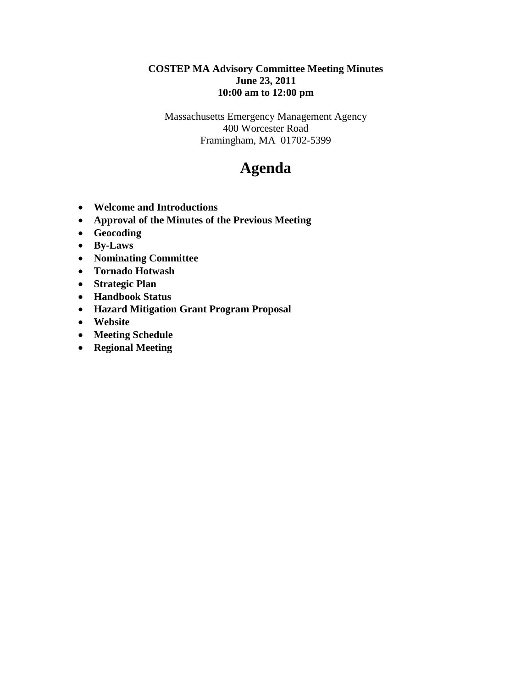## **COSTEP MA Advisory Committee Meeting Minutes June 23, 2011 10:00 am to 12:00 pm**

Massachusetts Emergency Management Agency 400 Worcester Road Framingham, MA 01702-5399

## **Agenda**

- **Welcome and Introductions**
- **Approval of the Minutes of the Previous Meeting**
- **Geocoding**
- **By-Laws**
- **Nominating Committee**
- **Tornado Hotwash**
- **Strategic Plan**
- **Handbook Status**
- **Hazard Mitigation Grant Program Proposal**
- **Website**
- **Meeting Schedule**
- **Regional Meeting**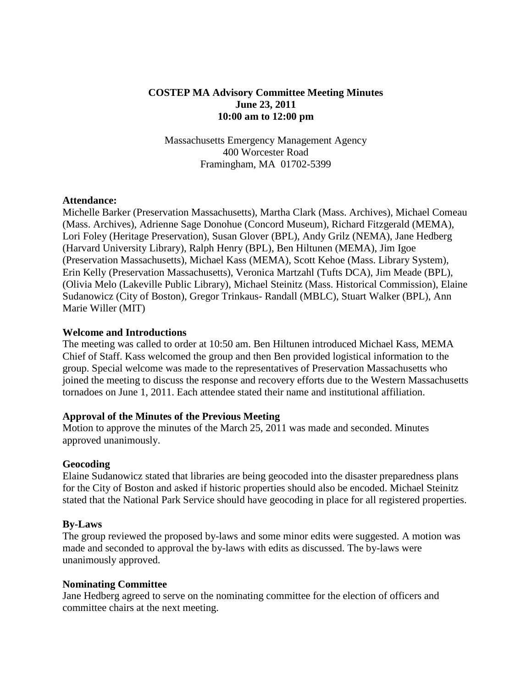## **COSTEP MA Advisory Committee Meeting Minutes June 23, 2011 10:00 am to 12:00 pm**

Massachusetts Emergency Management Agency 400 Worcester Road Framingham, MA 01702-5399

#### **Attendance:**

Michelle Barker (Preservation Massachusetts), Martha Clark (Mass. Archives), Michael Comeau (Mass. Archives), Adrienne Sage Donohue (Concord Museum), Richard Fitzgerald (MEMA), Lori Foley (Heritage Preservation), Susan Glover (BPL), Andy Grilz (NEMA), Jane Hedberg (Harvard University Library), Ralph Henry (BPL), Ben Hiltunen (MEMA), Jim Igoe (Preservation Massachusetts), Michael Kass (MEMA), Scott Kehoe (Mass. Library System), Erin Kelly (Preservation Massachusetts), Veronica Martzahl (Tufts DCA), Jim Meade (BPL), (Olivia Melo (Lakeville Public Library), Michael Steinitz (Mass. Historical Commission), Elaine Sudanowicz (City of Boston), Gregor Trinkaus- Randall (MBLC), Stuart Walker (BPL), Ann Marie Willer (MIT)

#### **Welcome and Introductions**

The meeting was called to order at 10:50 am. Ben Hiltunen introduced Michael Kass, MEMA Chief of Staff. Kass welcomed the group and then Ben provided logistical information to the group. Special welcome was made to the representatives of Preservation Massachusetts who joined the meeting to discuss the response and recovery efforts due to the Western Massachusetts tornadoes on June 1, 2011. Each attendee stated their name and institutional affiliation.

#### **Approval of the Minutes of the Previous Meeting**

Motion to approve the minutes of the March 25, 2011 was made and seconded. Minutes approved unanimously.

#### **Geocoding**

Elaine Sudanowicz stated that libraries are being geocoded into the disaster preparedness plans for the City of Boston and asked if historic properties should also be encoded. Michael Steinitz stated that the National Park Service should have geocoding in place for all registered properties.

#### **By-Laws**

The group reviewed the proposed by-laws and some minor edits were suggested. A motion was made and seconded to approval the by-laws with edits as discussed. The by-laws were unanimously approved.

#### **Nominating Committee**

Jane Hedberg agreed to serve on the nominating committee for the election of officers and committee chairs at the next meeting.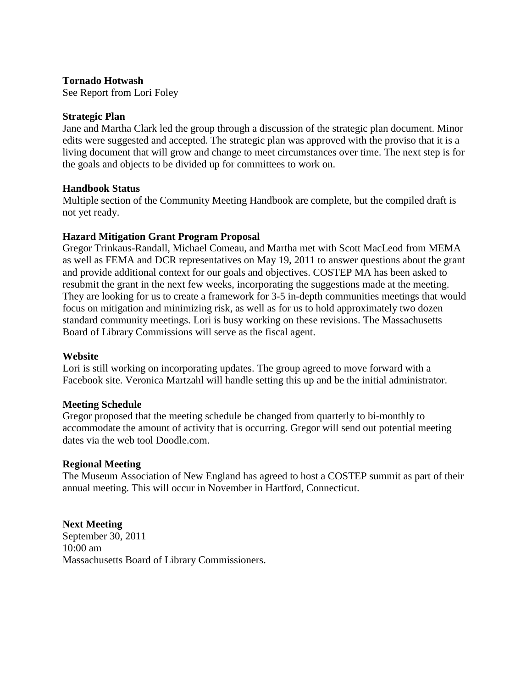#### **Tornado Hotwash**

See Report from Lori Foley

#### **Strategic Plan**

Jane and Martha Clark led the group through a discussion of the strategic plan document. Minor edits were suggested and accepted. The strategic plan was approved with the proviso that it is a living document that will grow and change to meet circumstances over time. The next step is for the goals and objects to be divided up for committees to work on.

#### **Handbook Status**

Multiple section of the Community Meeting Handbook are complete, but the compiled draft is not yet ready.

#### **Hazard Mitigation Grant Program Proposal**

Gregor Trinkaus-Randall, Michael Comeau, and Martha met with Scott MacLeod from MEMA as well as FEMA and DCR representatives on May 19, 2011 to answer questions about the grant and provide additional context for our goals and objectives. COSTEP MA has been asked to resubmit the grant in the next few weeks, incorporating the suggestions made at the meeting. They are looking for us to create a framework for 3-5 in-depth communities meetings that would focus on mitigation and minimizing risk, as well as for us to hold approximately two dozen standard community meetings. Lori is busy working on these revisions. The Massachusetts Board of Library Commissions will serve as the fiscal agent.

#### **Website**

Lori is still working on incorporating updates. The group agreed to move forward with a Facebook site. Veronica Martzahl will handle setting this up and be the initial administrator.

#### **Meeting Schedule**

Gregor proposed that the meeting schedule be changed from quarterly to bi-monthly to accommodate the amount of activity that is occurring. Gregor will send out potential meeting dates via the web tool Doodle.com.

#### **Regional Meeting**

The Museum Association of New England has agreed to host a COSTEP summit as part of their annual meeting. This will occur in November in Hartford, Connecticut.

**Next Meeting** September 30, 2011 10:00 am Massachusetts Board of Library Commissioners.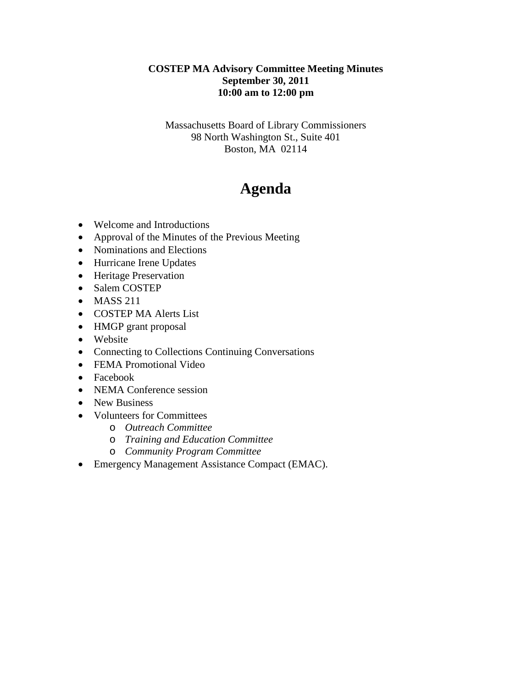## **COSTEP MA Advisory Committee Meeting Minutes September 30, 2011 10:00 am to 12:00 pm**

Massachusetts Board of Library Commissioners 98 North Washington St., Suite 401 Boston, MA 02114

# **Agenda**

- Welcome and Introductions
- Approval of the Minutes of the Previous Meeting
- Nominations and Elections
- Hurricane Irene Updates
- Heritage Preservation
- Salem COSTEP
- MASS 211
- COSTEP MA Alerts List
- HMGP grant proposal
- Website
- Connecting to Collections Continuing Conversations
- FEMA Promotional Video
- Facebook
- NEMA Conference session
- New Business
- Volunteers for Committees
	- o *Outreach Committee*
	- o *Training and Education Committee*
	- o *Community Program Committee*
- Emergency Management Assistance Compact (EMAC).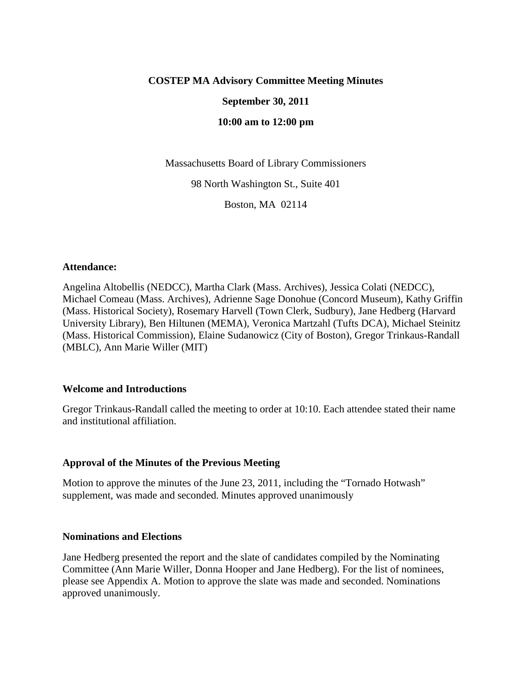#### **COSTEP MA Advisory Committee Meeting Minutes**

#### **September 30, 2011**

**10:00 am to 12:00 pm**

Massachusetts Board of Library Commissioners

98 North Washington St., Suite 401

Boston, MA 02114

#### **Attendance:**

Angelina Altobellis (NEDCC), Martha Clark (Mass. Archives), Jessica Colati (NEDCC), Michael Comeau (Mass. Archives), Adrienne Sage Donohue (Concord Museum), Kathy Griffin (Mass. Historical Society), Rosemary Harvell (Town Clerk, Sudbury), Jane Hedberg (Harvard University Library), Ben Hiltunen (MEMA), Veronica Martzahl (Tufts DCA), Michael Steinitz (Mass. Historical Commission), Elaine Sudanowicz (City of Boston), Gregor Trinkaus-Randall (MBLC), Ann Marie Willer (MIT)

#### **Welcome and Introductions**

Gregor Trinkaus-Randall called the meeting to order at 10:10. Each attendee stated their name and institutional affiliation.

#### **Approval of the Minutes of the Previous Meeting**

Motion to approve the minutes of the June 23, 2011, including the "Tornado Hotwash" supplement, was made and seconded. Minutes approved unanimously

#### **Nominations and Elections**

Jane Hedberg presented the report and the slate of candidates compiled by the Nominating Committee (Ann Marie Willer, Donna Hooper and Jane Hedberg). For the list of nominees, please see Appendix A. Motion to approve the slate was made and seconded. Nominations approved unanimously.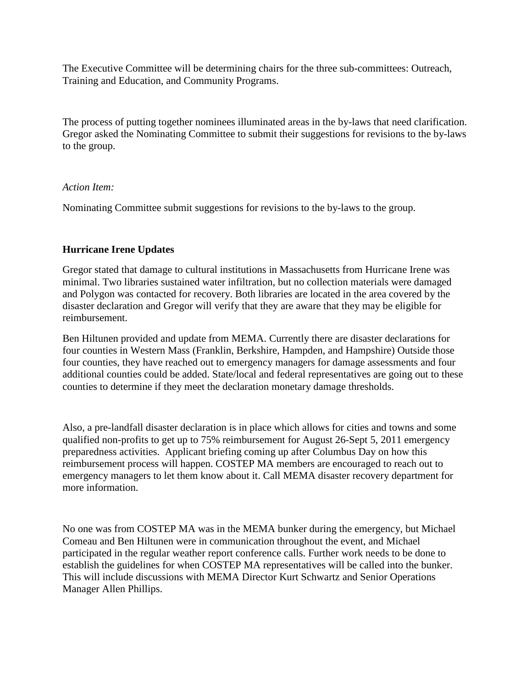The Executive Committee will be determining chairs for the three sub-committees: Outreach, Training and Education, and Community Programs.

The process of putting together nominees illuminated areas in the by-laws that need clarification. Gregor asked the Nominating Committee to submit their suggestions for revisions to the by-laws to the group.

#### *Action Item:*

Nominating Committee submit suggestions for revisions to the by-laws to the group.

## **Hurricane Irene Updates**

Gregor stated that damage to cultural institutions in Massachusetts from Hurricane Irene was minimal. Two libraries sustained water infiltration, but no collection materials were damaged and Polygon was contacted for recovery. Both libraries are located in the area covered by the disaster declaration and Gregor will verify that they are aware that they may be eligible for reimbursement.

Ben Hiltunen provided and update from MEMA. Currently there are disaster declarations for four counties in Western Mass (Franklin, Berkshire, Hampden, and Hampshire) Outside those four counties, they have reached out to emergency managers for damage assessments and four additional counties could be added. State/local and federal representatives are going out to these counties to determine if they meet the declaration monetary damage thresholds.

Also, a pre-landfall disaster declaration is in place which allows for cities and towns and some qualified non-profits to get up to 75% reimbursement for August 26-Sept 5, 2011 emergency preparedness activities. Applicant briefing coming up after Columbus Day on how this reimbursement process will happen. COSTEP MA members are encouraged to reach out to emergency managers to let them know about it. Call MEMA disaster recovery department for more information.

No one was from COSTEP MA was in the MEMA bunker during the emergency, but Michael Comeau and Ben Hiltunen were in communication throughout the event, and Michael participated in the regular weather report conference calls. Further work needs to be done to establish the guidelines for when COSTEP MA representatives will be called into the bunker. This will include discussions with MEMA Director Kurt Schwartz and Senior Operations Manager Allen Phillips.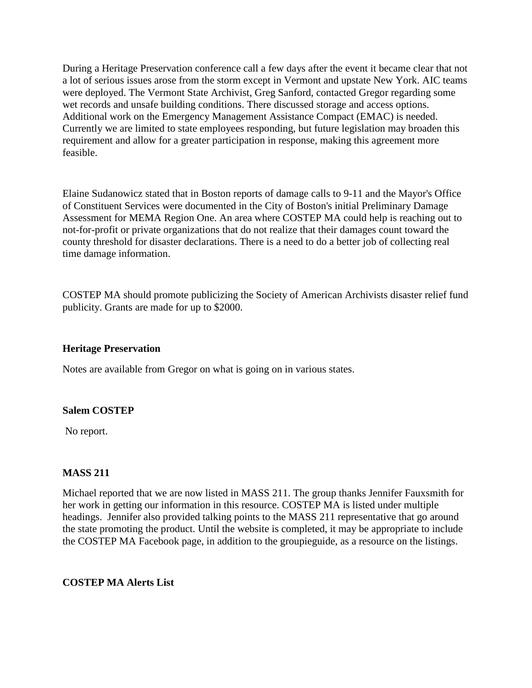During a Heritage Preservation conference call a few days after the event it became clear that not a lot of serious issues arose from the storm except in Vermont and upstate New York. AIC teams were deployed. The Vermont State Archivist, Greg Sanford, contacted Gregor regarding some wet records and unsafe building conditions. There discussed storage and access options. Additional work on the Emergency Management Assistance Compact (EMAC) is needed. Currently we are limited to state employees responding, but future legislation may broaden this requirement and allow for a greater participation in response, making this agreement more feasible.

Elaine Sudanowicz stated that in Boston reports of damage calls to 9-11 and the Mayor's Office of Constituent Services were documented in the City of Boston's initial Preliminary Damage Assessment for MEMA Region One. An area where COSTEP MA could help is reaching out to not-for-profit or private organizations that do not realize that their damages count toward the county threshold for disaster declarations. There is a need to do a better job of collecting real time damage information.

COSTEP MA should promote publicizing the Society of American Archivists disaster relief fund publicity. Grants are made for up to \$2000.

#### **Heritage Preservation**

Notes are available from Gregor on what is going on in various states.

#### **Salem COSTEP**

No report.

#### **MASS 211**

Michael reported that we are now listed in MASS 211. The group thanks Jennifer Fauxsmith for her work in getting our information in this resource. COSTEP MA is listed under multiple headings. Jennifer also provided talking points to the MASS 211 representative that go around the state promoting the product. Until the website is completed, it may be appropriate to include the COSTEP MA Facebook page, in addition to the groupieguide, as a resource on the listings.

#### **COSTEP MA Alerts List**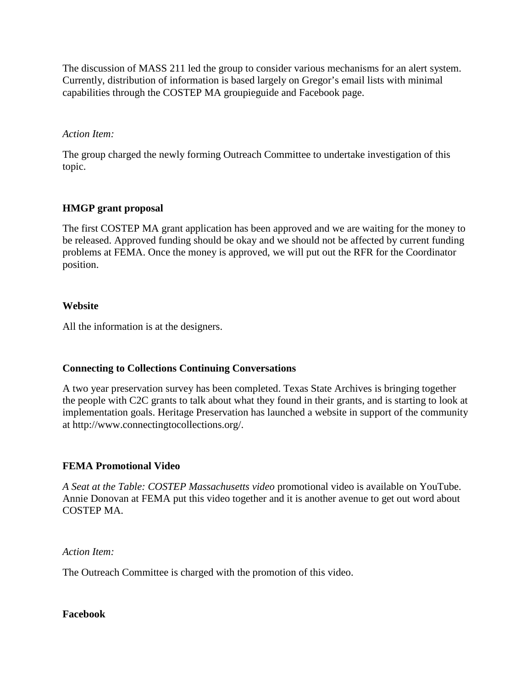The discussion of MASS 211 led the group to consider various mechanisms for an alert system. Currently, distribution of information is based largely on Gregor's email lists with minimal capabilities through the COSTEP MA groupieguide and Facebook page.

### *Action Item:*

The group charged the newly forming Outreach Committee to undertake investigation of this topic.

## **HMGP grant proposal**

The first COSTEP MA grant application has been approved and we are waiting for the money to be released. Approved funding should be okay and we should not be affected by current funding problems at FEMA. Once the money is approved, we will put out the RFR for the Coordinator position.

## **Website**

All the information is at the designers.

## **Connecting to Collections Continuing Conversations**

A two year preservation survey has been completed. Texas State Archives is bringing together the people with C2C grants to talk about what they found in their grants, and is starting to look at implementation goals. Heritage Preservation has launched a website in support of the community at http://www.connectingtocollections.org/.

#### **FEMA Promotional Video**

*A Seat at the Table: COSTEP Massachusetts video* promotional video is available on YouTube. Annie Donovan at FEMA put this video together and it is another avenue to get out word about COSTEP MA.

*Action Item:*

The Outreach Committee is charged with the promotion of this video.

#### **Facebook**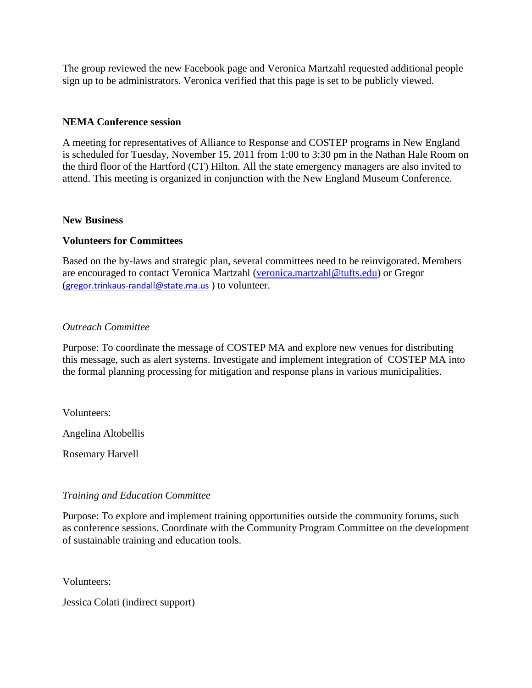The group reviewed the new Facebook page and Veronica Martzahl requested additional people sign up to be administrators. Veronica verified that this page is set to be publicly viewed.

## **NEMA Conference session**

A meeting for representatives of Alliance to Response and COSTEP programs in New England is scheduled for Tuesday, November 15, 2011 from 1:00 to 3:30 pm in the Nathan Hale Room on the third floor of the Hartford (CT) Hilton. All the state emergency managers are also invited to attend. This meeting is organized in conjunction with the New England Museum Conference.

#### **New Business**

#### **Volunteers for Committees**

Based on the by-laws and strategic plan, several committees need to be reinvigorated. Members are encouraged to contact Veronica Martzahl [\(veronica.martzahl@tufts.edu\)](mailto:veronica.martzahl@tufts.edu) or Gregor ([gregor.trinkaus-randall@state.ma.us](https://exchange.tufts.edu/owa/redir.aspx?C=d9d1fdc2654547cc8d6646943a5a736b&URL=mailto%3agregor.trinkaus-randall%40state.ma.us) ) to volunteer.

#### *Outreach Committee*

Purpose: To coordinate the message of COSTEP MA and explore new venues for distributing this message, such as alert systems. Investigate and implement integration of COSTEP MA into the formal planning processing for mitigation and response plans in various municipalities.

Volunteers:

Angelina Altobellis

Rosemary Harvell

#### *Training and Education Committee*

Purpose: To explore and implement training opportunities outside the community forums, such as conference sessions. Coordinate with the Community Program Committee on the development of sustainable training and education tools.

Volunteers:

Jessica Colati (indirect support)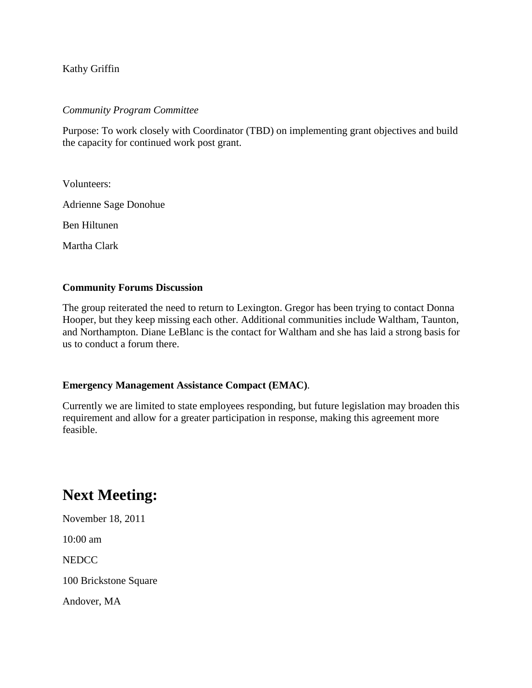Kathy Griffin

#### *Community Program Committee*

Purpose: To work closely with Coordinator (TBD) on implementing grant objectives and build the capacity for continued work post grant.

Volunteers:

Adrienne Sage Donohue

Ben Hiltunen

Martha Clark

#### **Community Forums Discussion**

The group reiterated the need to return to Lexington. Gregor has been trying to contact Donna Hooper, but they keep missing each other. Additional communities include Waltham, Taunton, and Northampton. Diane LeBlanc is the contact for Waltham and she has laid a strong basis for us to conduct a forum there.

#### **Emergency Management Assistance Compact (EMAC)**.

Currently we are limited to state employees responding, but future legislation may broaden this requirement and allow for a greater participation in response, making this agreement more feasible.

## **Next Meeting:**

November 18, 2011

10:00 am

NEDCC

100 Brickstone Square

Andover, MA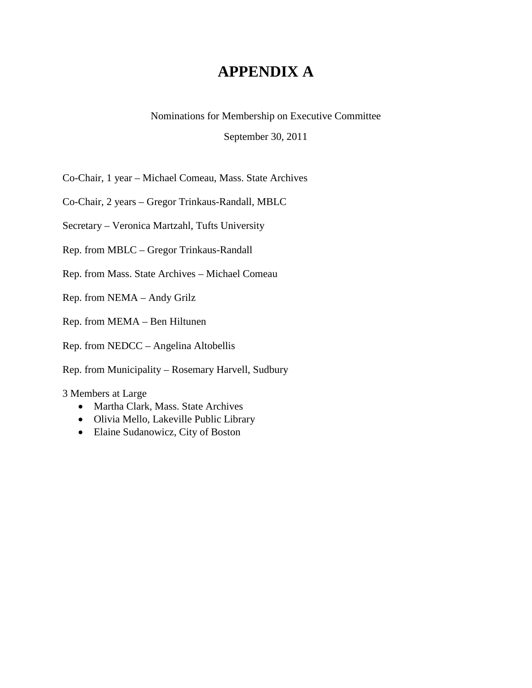## **APPENDIX A**

Nominations for Membership on Executive Committee

September 30, 2011

Co-Chair, 1 year – Michael Comeau, Mass. State Archives

Co-Chair, 2 years – Gregor Trinkaus-Randall, MBLC

Secretary – Veronica Martzahl, Tufts University

Rep. from MBLC – Gregor Trinkaus-Randall

Rep. from Mass. State Archives – Michael Comeau

Rep. from NEMA – Andy Grilz

Rep. from MEMA – Ben Hiltunen

Rep. from NEDCC – Angelina Altobellis

Rep. from Municipality – Rosemary Harvell, Sudbury

3 Members at Large

- Martha Clark, Mass. State Archives
- Olivia Mello, Lakeville Public Library
- Elaine Sudanowicz, City of Boston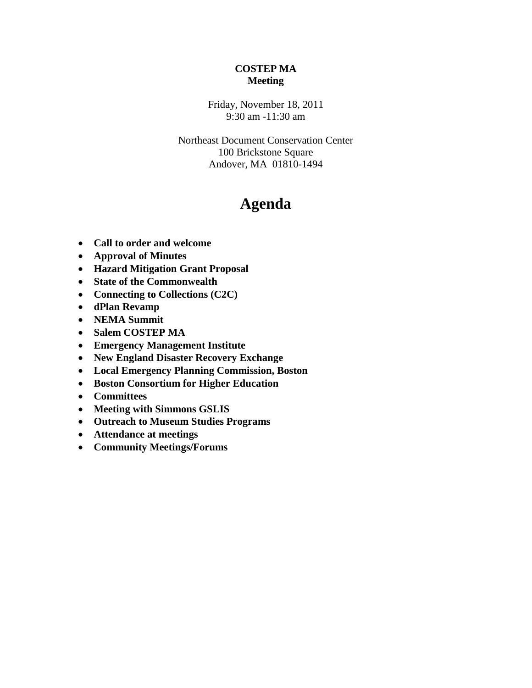## **COSTEP MA Meeting**

Friday, November 18, 2011 9:30 am -11:30 am

Northeast Document Conservation Center 100 Brickstone Square Andover, MA 01810-1494

## **Agenda**

- **Call to order and welcome**
- **Approval of Minutes**
- **Hazard Mitigation Grant Proposal**
- **State of the Commonwealth**
- **Connecting to Collections (C2C)**
- **dPlan Revamp**
- **NEMA Summit**
- **Salem COSTEP MA**
- **Emergency Management Institute**
- **New England Disaster Recovery Exchange**
- **Local Emergency Planning Commission, Boston**
- **Boston Consortium for Higher Education**
- **Committees**
- **Meeting with Simmons GSLIS**
- **Outreach to Museum Studies Programs**
- **Attendance at meetings**
- **Community Meetings/Forums**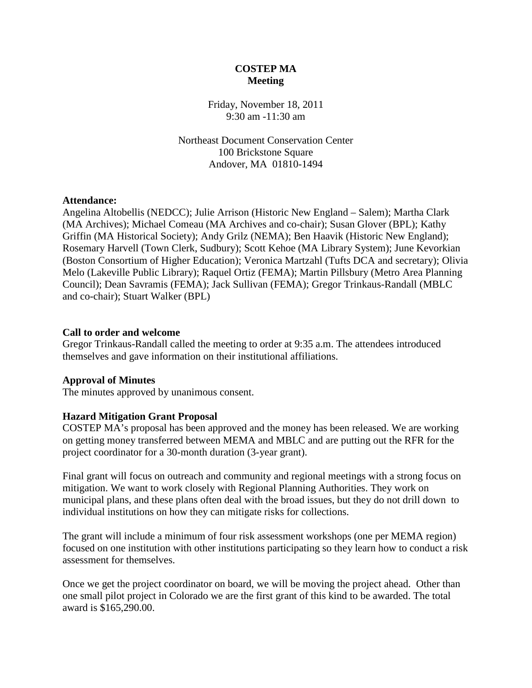## **COSTEP MA Meeting**

Friday, November 18, 2011 9:30 am -11:30 am

Northeast Document Conservation Center 100 Brickstone Square Andover, MA 01810-1494

#### **Attendance:**

Angelina Altobellis (NEDCC); Julie Arrison (Historic New England – Salem); Martha Clark (MA Archives); Michael Comeau (MA Archives and co-chair); Susan Glover (BPL); Kathy Griffin (MA Historical Society); Andy Grilz (NEMA); Ben Haavik (Historic New England); Rosemary Harvell (Town Clerk, Sudbury); Scott Kehoe (MA Library System); June Kevorkian (Boston Consortium of Higher Education); Veronica Martzahl (Tufts DCA and secretary); Olivia Melo (Lakeville Public Library); Raquel Ortiz (FEMA); Martin Pillsbury (Metro Area Planning Council); Dean Savramis (FEMA); Jack Sullivan (FEMA); Gregor Trinkaus-Randall (MBLC and co-chair); Stuart Walker (BPL)

#### **Call to order and welcome**

Gregor Trinkaus-Randall called the meeting to order at 9:35 a.m. The attendees introduced themselves and gave information on their institutional affiliations.

#### **Approval of Minutes**

The minutes approved by unanimous consent.

#### **Hazard Mitigation Grant Proposal**

COSTEP MA's proposal has been approved and the money has been released. We are working on getting money transferred between MEMA and MBLC and are putting out the RFR for the project coordinator for a 30-month duration (3-year grant).

Final grant will focus on outreach and community and regional meetings with a strong focus on mitigation. We want to work closely with Regional Planning Authorities. They work on municipal plans, and these plans often deal with the broad issues, but they do not drill down to individual institutions on how they can mitigate risks for collections.

The grant will include a minimum of four risk assessment workshops (one per MEMA region) focused on one institution with other institutions participating so they learn how to conduct a risk assessment for themselves.

Once we get the project coordinator on board, we will be moving the project ahead. Other than one small pilot project in Colorado we are the first grant of this kind to be awarded. The total award is \$165,290.00.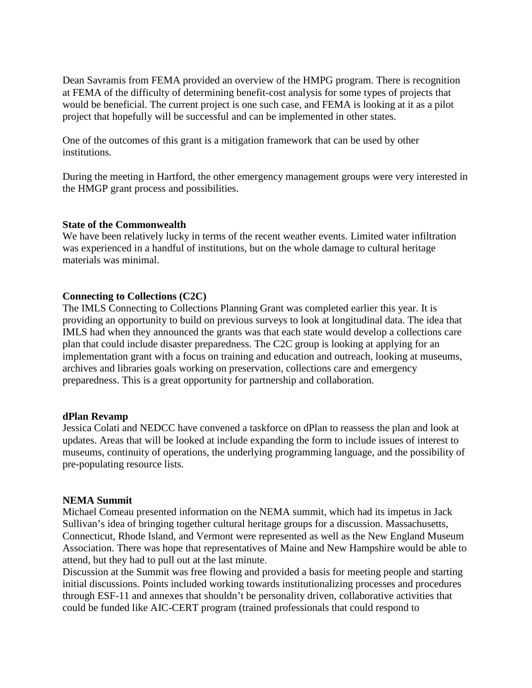Dean Savramis from FEMA provided an overview of the HMPG program. There is recognition at FEMA of the difficulty of determining benefit-cost analysis for some types of projects that would be beneficial. The current project is one such case, and FEMA is looking at it as a pilot project that hopefully will be successful and can be implemented in other states.

One of the outcomes of this grant is a mitigation framework that can be used by other institutions.

During the meeting in Hartford, the other emergency management groups were very interested in the HMGP grant process and possibilities.

#### **State of the Commonwealth**

We have been relatively lucky in terms of the recent weather events. Limited water infiltration was experienced in a handful of institutions, but on the whole damage to cultural heritage materials was minimal.

#### **Connecting to Collections (C2C)**

The IMLS Connecting to Collections Planning Grant was completed earlier this year. It is providing an opportunity to build on previous surveys to look at longitudinal data. The idea that IMLS had when they announced the grants was that each state would develop a collections care plan that could include disaster preparedness. The C2C group is looking at applying for an implementation grant with a focus on training and education and outreach, looking at museums, archives and libraries goals working on preservation, collections care and emergency preparedness. This is a great opportunity for partnership and collaboration.

#### **dPlan Revamp**

Jessica Colati and NEDCC have convened a taskforce on dPlan to reassess the plan and look at updates. Areas that will be looked at include expanding the form to include issues of interest to museums, continuity of operations, the underlying programming language, and the possibility of pre-populating resource lists.

#### **NEMA Summit**

Michael Comeau presented information on the NEMA summit, which had its impetus in Jack Sullivan's idea of bringing together cultural heritage groups for a discussion. Massachusetts, Connecticut, Rhode Island, and Vermont were represented as well as the New England Museum Association. There was hope that representatives of Maine and New Hampshire would be able to attend, but they had to pull out at the last minute.

Discussion at the Summit was free flowing and provided a basis for meeting people and starting initial discussions. Points included working towards institutionalizing processes and procedures through ESF-11 and annexes that shouldn't be personality driven, collaborative activities that could be funded like AIC-CERT program (trained professionals that could respond to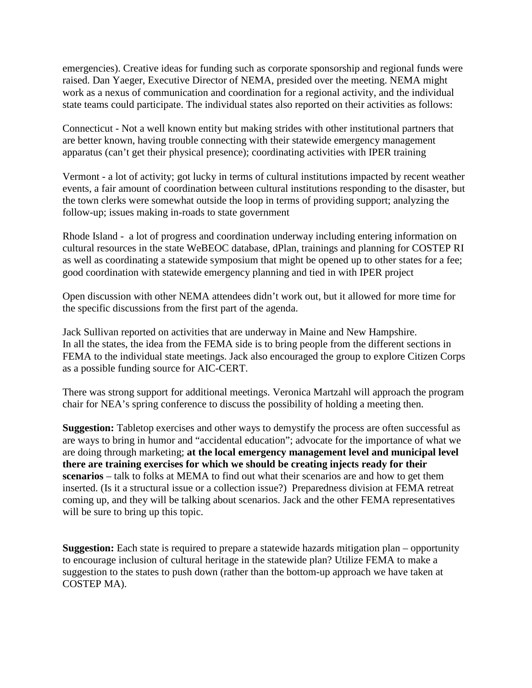emergencies). Creative ideas for funding such as corporate sponsorship and regional funds were raised. Dan Yaeger, Executive Director of NEMA, presided over the meeting. NEMA might work as a nexus of communication and coordination for a regional activity, and the individual state teams could participate. The individual states also reported on their activities as follows:

Connecticut - Not a well known entity but making strides with other institutional partners that are better known, having trouble connecting with their statewide emergency management apparatus (can't get their physical presence); coordinating activities with IPER training

Vermont - a lot of activity; got lucky in terms of cultural institutions impacted by recent weather events, a fair amount of coordination between cultural institutions responding to the disaster, but the town clerks were somewhat outside the loop in terms of providing support; analyzing the follow-up; issues making in-roads to state government

Rhode Island - a lot of progress and coordination underway including entering information on cultural resources in the state WeBEOC database, dPlan, trainings and planning for COSTEP RI as well as coordinating a statewide symposium that might be opened up to other states for a fee; good coordination with statewide emergency planning and tied in with IPER project

Open discussion with other NEMA attendees didn't work out, but it allowed for more time for the specific discussions from the first part of the agenda.

Jack Sullivan reported on activities that are underway in Maine and New Hampshire. In all the states, the idea from the FEMA side is to bring people from the different sections in FEMA to the individual state meetings. Jack also encouraged the group to explore Citizen Corps as a possible funding source for AIC-CERT.

There was strong support for additional meetings. Veronica Martzahl will approach the program chair for NEA's spring conference to discuss the possibility of holding a meeting then.

**Suggestion:** Tabletop exercises and other ways to demystify the process are often successful as are ways to bring in humor and "accidental education"; advocate for the importance of what we are doing through marketing; **at the local emergency management level and municipal level there are training exercises for which we should be creating injects ready for their scenarios** – talk to folks at MEMA to find out what their scenarios are and how to get them inserted. (Is it a structural issue or a collection issue?) Preparedness division at FEMA retreat coming up, and they will be talking about scenarios. Jack and the other FEMA representatives will be sure to bring up this topic.

**Suggestion:** Each state is required to prepare a statewide hazards mitigation plan – opportunity to encourage inclusion of cultural heritage in the statewide plan? Utilize FEMA to make a suggestion to the states to push down (rather than the bottom-up approach we have taken at COSTEP MA).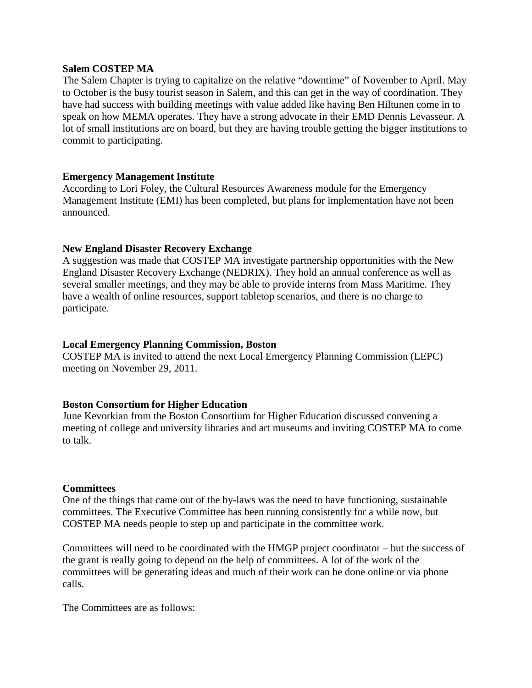#### **Salem COSTEP MA**

The Salem Chapter is trying to capitalize on the relative "downtime" of November to April. May to October is the busy tourist season in Salem, and this can get in the way of coordination. They have had success with building meetings with value added like having Ben Hiltunen come in to speak on how MEMA operates. They have a strong advocate in their EMD Dennis Levasseur. A lot of small institutions are on board, but they are having trouble getting the bigger institutions to commit to participating.

#### **Emergency Management Institute**

According to Lori Foley, the Cultural Resources Awareness module for the Emergency Management Institute (EMI) has been completed, but plans for implementation have not been announced.

## **New England Disaster Recovery Exchange**

A suggestion was made that COSTEP MA investigate partnership opportunities with the New England Disaster Recovery Exchange (NEDRIX). They hold an annual conference as well as several smaller meetings, and they may be able to provide interns from Mass Maritime. They have a wealth of online resources, support tabletop scenarios, and there is no charge to participate.

## **Local Emergency Planning Commission, Boston**

COSTEP MA is invited to attend the next Local Emergency Planning Commission (LEPC) meeting on November 29, 2011.

#### **Boston Consortium for Higher Education**

June Kevorkian from the Boston Consortium for Higher Education discussed convening a meeting of college and university libraries and art museums and inviting COSTEP MA to come to talk.

#### **Committees**

One of the things that came out of the by-laws was the need to have functioning, sustainable committees. The Executive Committee has been running consistently for a while now, but COSTEP MA needs people to step up and participate in the committee work.

Committees will need to be coordinated with the HMGP project coordinator – but the success of the grant is really going to depend on the help of committees. A lot of the work of the committees will be generating ideas and much of their work can be done online or via phone calls.

The Committees are as follows: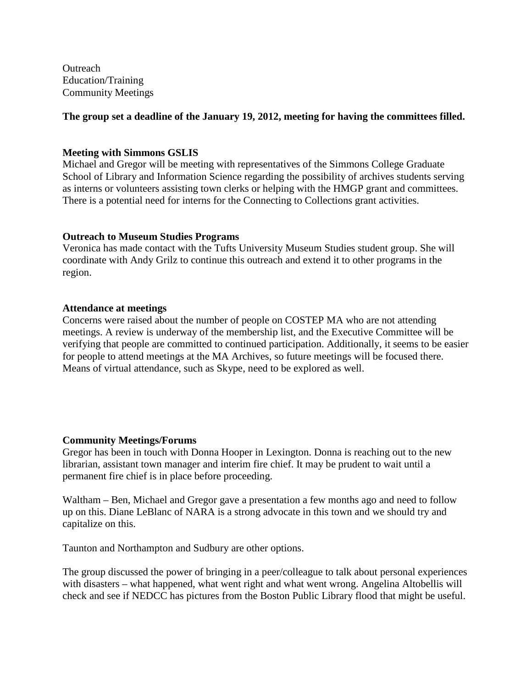**Outreach** Education/Training Community Meetings

## **The group set a deadline of the January 19, 2012, meeting for having the committees filled.**

### **Meeting with Simmons GSLIS**

Michael and Gregor will be meeting with representatives of the Simmons College Graduate School of Library and Information Science regarding the possibility of archives students serving as interns or volunteers assisting town clerks or helping with the HMGP grant and committees. There is a potential need for interns for the Connecting to Collections grant activities.

#### **Outreach to Museum Studies Programs**

Veronica has made contact with the Tufts University Museum Studies student group. She will coordinate with Andy Grilz to continue this outreach and extend it to other programs in the region.

#### **Attendance at meetings**

Concerns were raised about the number of people on COSTEP MA who are not attending meetings. A review is underway of the membership list, and the Executive Committee will be verifying that people are committed to continued participation. Additionally, it seems to be easier for people to attend meetings at the MA Archives, so future meetings will be focused there. Means of virtual attendance, such as Skype, need to be explored as well.

## **Community Meetings/Forums**

Gregor has been in touch with Donna Hooper in Lexington. Donna is reaching out to the new librarian, assistant town manager and interim fire chief. It may be prudent to wait until a permanent fire chief is in place before proceeding.

Waltham – Ben, Michael and Gregor gave a presentation a few months ago and need to follow up on this. Diane LeBlanc of NARA is a strong advocate in this town and we should try and capitalize on this.

Taunton and Northampton and Sudbury are other options.

The group discussed the power of bringing in a peer/colleague to talk about personal experiences with disasters – what happened, what went right and what went wrong. Angelina Altobellis will check and see if NEDCC has pictures from the Boston Public Library flood that might be useful.